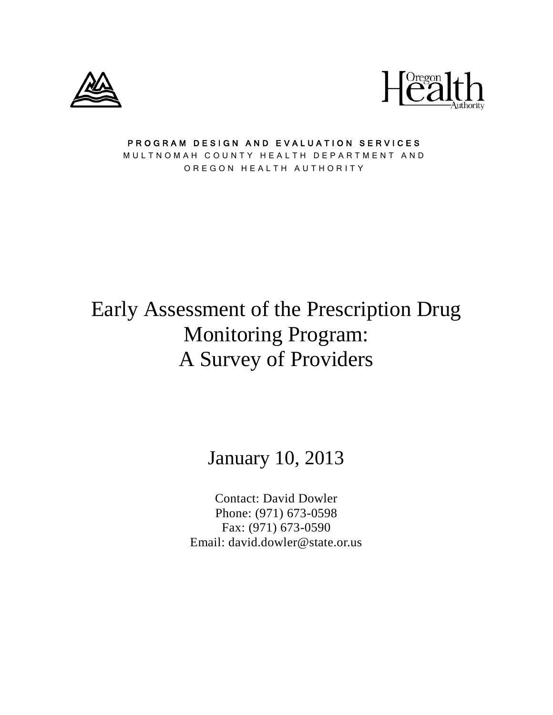



#### PROGRAM DESIGN AND EVALUATION SERVICES MULTNOMAH COUNTY HEALTH DEPARTMENT AND OREGON HEALTH AUTHORITY

# Early Assessment of the Prescription Drug Monitoring Program: A Survey of Providers

## January 10, 2013

Contact: David Dowler Phone: (971) 673-0598 Fax: (971) 673-0590 Email: david.dowler@state.or.us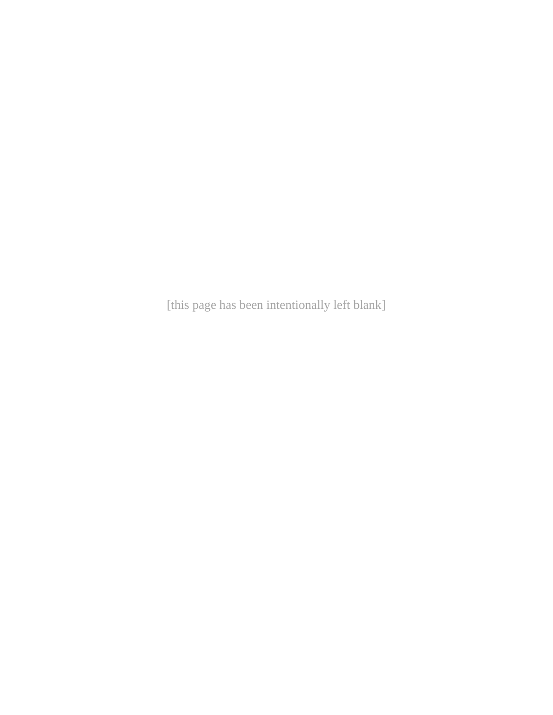[this page has been intentionally left blank]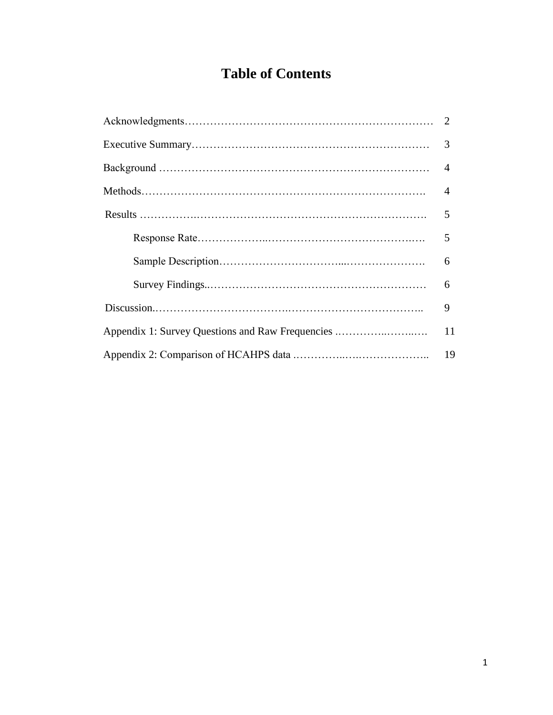## **Table of Contents**

| 3              |
|----------------|
| $\overline{A}$ |
| 4              |
| 5              |
| 5              |
| 6              |
| 6              |
| 9              |
| 11             |
| 19             |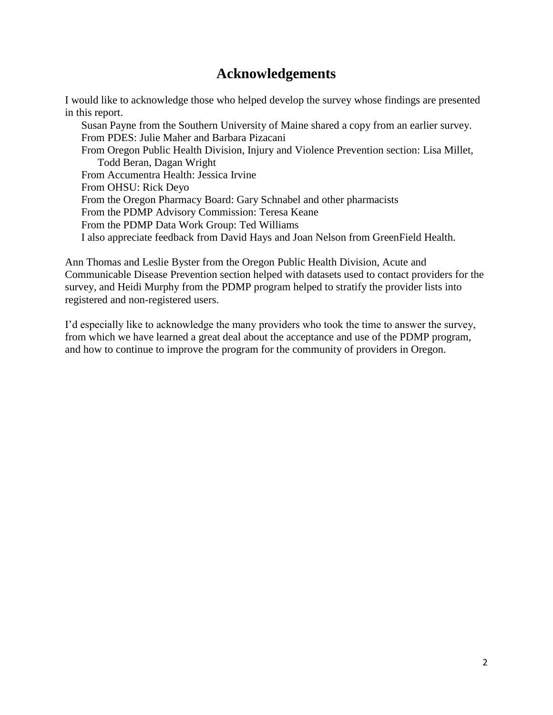## **Acknowledgements**

I would like to acknowledge those who helped develop the survey whose findings are presented in this report.

Susan Payne from the Southern University of Maine shared a copy from an earlier survey. From PDES: Julie Maher and Barbara Pizacani From Oregon Public Health Division, Injury and Violence Prevention section: Lisa Millet, Todd Beran, Dagan Wright From Accumentra Health: Jessica Irvine From OHSU: Rick Deyo From the Oregon Pharmacy Board: Gary Schnabel and other pharmacists From the PDMP Advisory Commission: Teresa Keane From the PDMP Data Work Group: Ted Williams I also appreciate feedback from David Hays and Joan Nelson from GreenField Health.

Ann Thomas and Leslie Byster from the Oregon Public Health Division, Acute and Communicable Disease Prevention section helped with datasets used to contact providers for the survey, and Heidi Murphy from the PDMP program helped to stratify the provider lists into registered and non-registered users.

I"d especially like to acknowledge the many providers who took the time to answer the survey, from which we have learned a great deal about the acceptance and use of the PDMP program, and how to continue to improve the program for the community of providers in Oregon.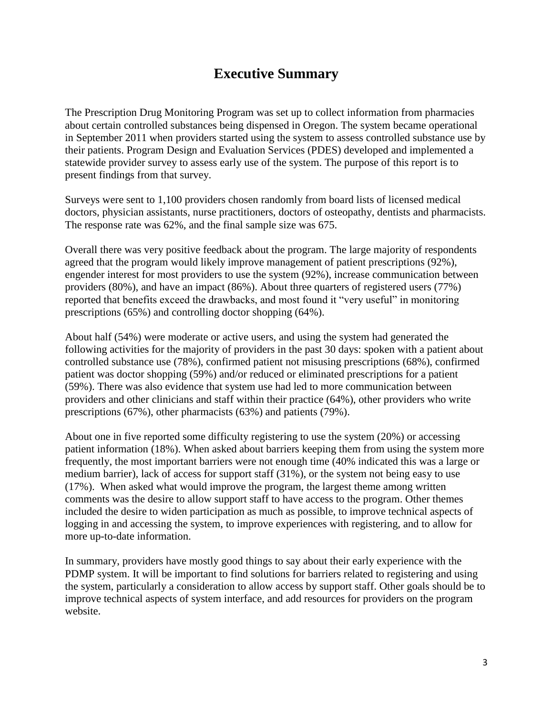## **Executive Summary**

The Prescription Drug Monitoring Program was set up to collect information from pharmacies about certain controlled substances being dispensed in Oregon. The system became operational in September 2011 when providers started using the system to assess controlled substance use by their patients. Program Design and Evaluation Services (PDES) developed and implemented a statewide provider survey to assess early use of the system. The purpose of this report is to present findings from that survey.

Surveys were sent to 1,100 providers chosen randomly from board lists of licensed medical doctors, physician assistants, nurse practitioners, doctors of osteopathy, dentists and pharmacists. The response rate was 62%, and the final sample size was 675.

Overall there was very positive feedback about the program. The large majority of respondents agreed that the program would likely improve management of patient prescriptions (92%), engender interest for most providers to use the system (92%), increase communication between providers (80%), and have an impact (86%). About three quarters of registered users (77%) reported that benefits exceed the drawbacks, and most found it "very useful" in monitoring prescriptions (65%) and controlling doctor shopping (64%).

About half (54%) were moderate or active users, and using the system had generated the following activities for the majority of providers in the past 30 days: spoken with a patient about controlled substance use (78%), confirmed patient not misusing prescriptions (68%), confirmed patient was doctor shopping (59%) and/or reduced or eliminated prescriptions for a patient (59%). There was also evidence that system use had led to more communication between providers and other clinicians and staff within their practice (64%), other providers who write prescriptions (67%), other pharmacists (63%) and patients (79%).

About one in five reported some difficulty registering to use the system (20%) or accessing patient information (18%). When asked about barriers keeping them from using the system more frequently, the most important barriers were not enough time (40% indicated this was a large or medium barrier), lack of access for support staff (31%), or the system not being easy to use (17%). When asked what would improve the program, the largest theme among written comments was the desire to allow support staff to have access to the program. Other themes included the desire to widen participation as much as possible, to improve technical aspects of logging in and accessing the system, to improve experiences with registering, and to allow for more up-to-date information.

In summary, providers have mostly good things to say about their early experience with the PDMP system. It will be important to find solutions for barriers related to registering and using the system, particularly a consideration to allow access by support staff. Other goals should be to improve technical aspects of system interface, and add resources for providers on the program website.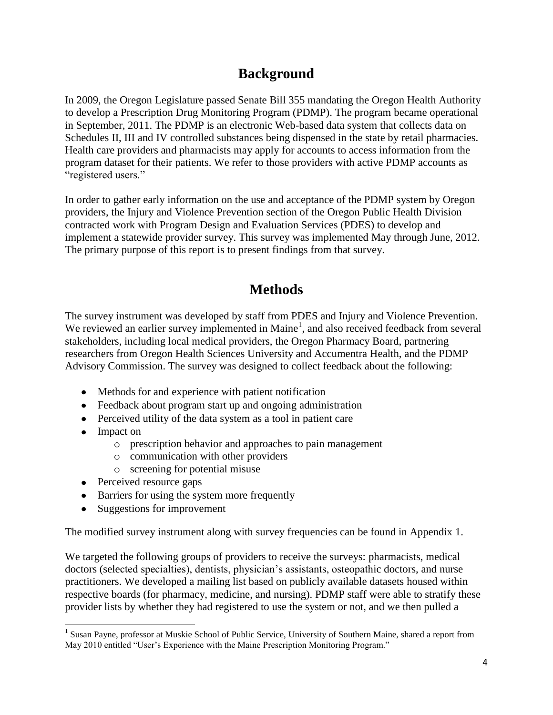## **Background**

In 2009, the Oregon Legislature passed Senate Bill 355 mandating the Oregon Health Authority to develop a Prescription Drug Monitoring Program (PDMP). The program became operational in September, 2011. The PDMP is an electronic Web-based data system that collects data on Schedules II, III and IV controlled substances being dispensed in the state by retail pharmacies. Health care providers and pharmacists may apply for accounts to access information from the program dataset for their patients. We refer to those providers with active PDMP accounts as "registered users."

In order to gather early information on the use and acceptance of the PDMP system by Oregon providers, the Injury and Violence Prevention section of the Oregon Public Health Division contracted work with Program Design and Evaluation Services (PDES) to develop and implement a statewide provider survey. This survey was implemented May through June, 2012. The primary purpose of this report is to present findings from that survey.

## **Methods**

The survey instrument was developed by staff from PDES and Injury and Violence Prevention. We reviewed an earlier survey implemented in Maine<sup>1</sup>, and also received feedback from several stakeholders, including local medical providers, the Oregon Pharmacy Board, partnering researchers from Oregon Health Sciences University and Accumentra Health, and the PDMP Advisory Commission. The survey was designed to collect feedback about the following:

- Methods for and experience with patient notification
- Feedback about program start up and ongoing administration
- Perceived utility of the data system as a tool in patient care
- Impact on
	- o prescription behavior and approaches to pain management
	- o communication with other providers
	- o screening for potential misuse
- Perceived resource gaps
- Barriers for using the system more frequently
- Suggestions for improvement

The modified survey instrument along with survey frequencies can be found in Appendix 1.

We targeted the following groups of providers to receive the surveys: pharmacists, medical doctors (selected specialties), dentists, physician"s assistants, osteopathic doctors, and nurse practitioners. We developed a mailing list based on publicly available datasets housed within respective boards (for pharmacy, medicine, and nursing). PDMP staff were able to stratify these provider lists by whether they had registered to use the system or not, and we then pulled a

<sup>&</sup>lt;sup>1</sup> Susan Payne, professor at Muskie School of Public Service, University of Southern Maine, shared a report from May 2010 entitled "User's Experience with the Maine Prescription Monitoring Program."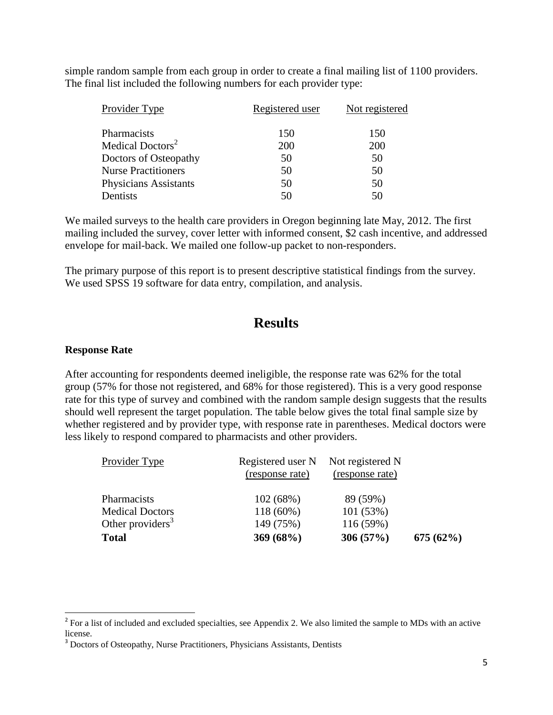simple random sample from each group in order to create a final mailing list of 1100 providers. The final list included the following numbers for each provider type:

| Provider Type                | Registered user | Not registered |
|------------------------------|-----------------|----------------|
| Pharmacists                  | 150             | 150            |
| Medical Doctors <sup>2</sup> | 200             | <b>200</b>     |
| Doctors of Osteopathy        | 50              | 50             |
| <b>Nurse Practitioners</b>   | 50              | 50             |
| <b>Physicians Assistants</b> | 50              | 50             |
| Dentists                     | 50              | 50             |

We mailed surveys to the health care providers in Oregon beginning late May, 2012. The first mailing included the survey, cover letter with informed consent, \$2 cash incentive, and addressed envelope for mail-back. We mailed one follow-up packet to non-responders.

The primary purpose of this report is to present descriptive statistical findings from the survey. We used SPSS 19 software for data entry, compilation, and analysis.

### **Results**

#### **Response Rate**

 $\overline{\phantom{a}}$ 

After accounting for respondents deemed ineligible, the response rate was 62% for the total group (57% for those not registered, and 68% for those registered). This is a very good response rate for this type of survey and combined with the random sample design suggests that the results should well represent the target population. The table below gives the total final sample size by whether registered and by provider type, with response rate in parentheses. Medical doctors were less likely to respond compared to pharmacists and other providers.

| Provider Type          | Registered user N<br>(response rate) | Not registered N<br>(response rate) |          |
|------------------------|--------------------------------------|-------------------------------------|----------|
| Pharmacists            | 102(68%)                             | 89 (59%)                            |          |
| <b>Medical Doctors</b> | 118 (60%)                            | 101(53%)                            |          |
| Other providers $3$    | 149 (75%)                            | 116(59%)                            |          |
| <b>Total</b>           | 369(68%)                             | 306(57%)                            | 675(62%) |

 $2^2$  For a list of included and excluded specialties, see Appendix 2. We also limited the sample to MDs with an active license.

<sup>&</sup>lt;sup>3</sup> Doctors of Osteopathy, Nurse Practitioners, Physicians Assistants, Dentists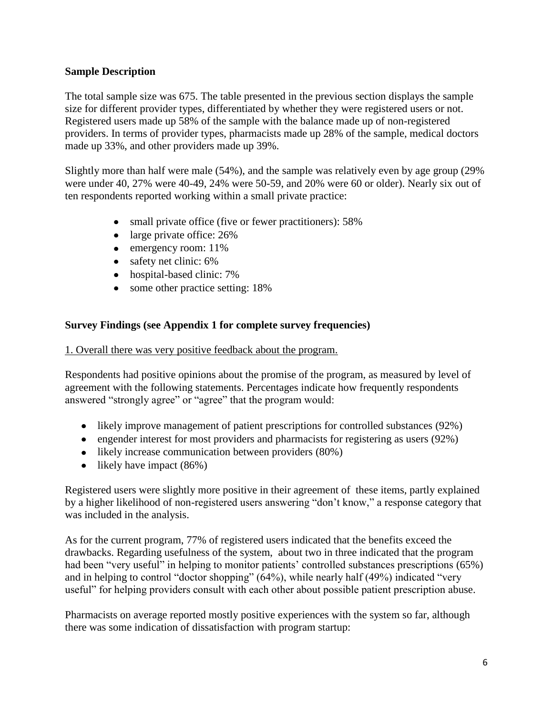#### **Sample Description**

The total sample size was 675. The table presented in the previous section displays the sample size for different provider types, differentiated by whether they were registered users or not. Registered users made up 58% of the sample with the balance made up of non-registered providers. In terms of provider types, pharmacists made up 28% of the sample, medical doctors made up 33%, and other providers made up 39%.

Slightly more than half were male (54%), and the sample was relatively even by age group (29% were under 40, 27% were 40-49, 24% were 50-59, and 20% were 60 or older). Nearly six out of ten respondents reported working within a small private practice:

- small private office (five or fewer practitioners): 58%
- large private office: 26%
- emergency room: 11%
- safety net clinic: 6%
- hospital-based clinic: 7%
- some other practice setting: 18%

#### **Survey Findings (see Appendix 1 for complete survey frequencies)**

1. Overall there was very positive feedback about the program.

Respondents had positive opinions about the promise of the program, as measured by level of agreement with the following statements. Percentages indicate how frequently respondents answered "strongly agree" or "agree" that the program would:

- likely improve management of patient prescriptions for controlled substances (92%)
- engender interest for most providers and pharmacists for registering as users  $(92\%)$
- likely increase communication between providers (80%)
- $\bullet$  likely have impact (86%)

Registered users were slightly more positive in their agreement of these items, partly explained by a higher likelihood of non-registered users answering "don"t know," a response category that was included in the analysis.

As for the current program, 77% of registered users indicated that the benefits exceed the drawbacks. Regarding usefulness of the system, about two in three indicated that the program had been "very useful" in helping to monitor patients' controlled substances prescriptions (65%) and in helping to control "doctor shopping" (64%), while nearly half (49%) indicated "very useful" for helping providers consult with each other about possible patient prescription abuse.

Pharmacists on average reported mostly positive experiences with the system so far, although there was some indication of dissatisfaction with program startup: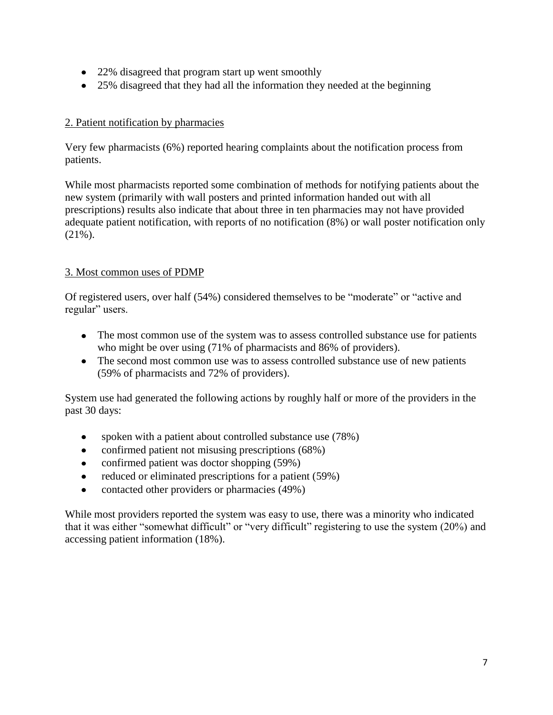- 22% disagreed that program start up went smoothly
- 25% disagreed that they had all the information they needed at the beginning

#### 2. Patient notification by pharmacies

Very few pharmacists (6%) reported hearing complaints about the notification process from patients.

While most pharmacists reported some combination of methods for notifying patients about the new system (primarily with wall posters and printed information handed out with all prescriptions) results also indicate that about three in ten pharmacies may not have provided adequate patient notification, with reports of no notification (8%) or wall poster notification only (21%).

#### 3. Most common uses of PDMP

Of registered users, over half (54%) considered themselves to be "moderate" or "active and regular" users.

- The most common use of the system was to assess controlled substance use for patients who might be over using (71% of pharmacists and 86% of providers).
- The second most common use was to assess controlled substance use of new patients (59% of pharmacists and 72% of providers).

System use had generated the following actions by roughly half or more of the providers in the past 30 days:

- spoken with a patient about controlled substance use (78%)  $\bullet$
- confirmed patient not misusing prescriptions (68%)  $\bullet$
- confirmed patient was doctor shopping (59%)  $\bullet$
- reduced or eliminated prescriptions for a patient (59%)
- contacted other providers or pharmacies (49%)  $\bullet$

While most providers reported the system was easy to use, there was a minority who indicated that it was either "somewhat difficult" or "very difficult" registering to use the system (20%) and accessing patient information (18%).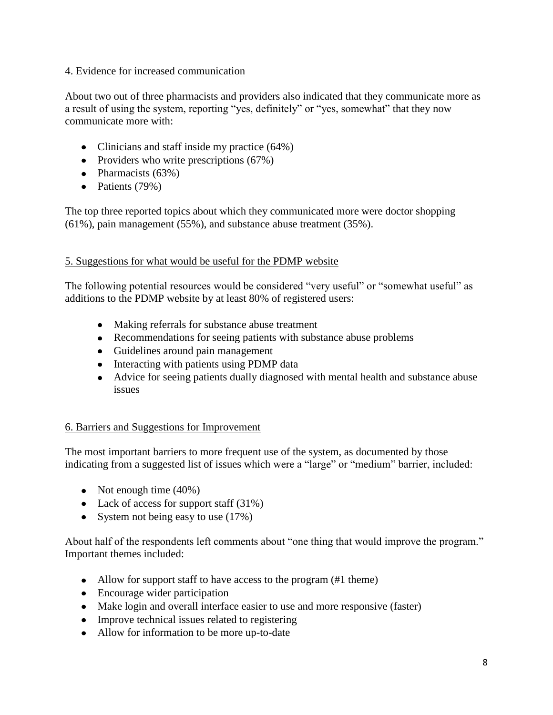#### 4. Evidence for increased communication

About two out of three pharmacists and providers also indicated that they communicate more as a result of using the system, reporting "yes, definitely" or "yes, somewhat" that they now communicate more with:

- Clinicians and staff inside my practice (64%)
- Providers who write prescriptions  $(67%)$
- Pharmacists  $(63\%)$
- Patients  $(79%)$

The top three reported topics about which they communicated more were doctor shopping (61%), pain management (55%), and substance abuse treatment (35%).

#### 5. Suggestions for what would be useful for the PDMP website

The following potential resources would be considered "very useful" or "somewhat useful" as additions to the PDMP website by at least 80% of registered users:

- Making referrals for substance abuse treatment
- Recommendations for seeing patients with substance abuse problems
- Guidelines around pain management
- Interacting with patients using PDMP data
- Advice for seeing patients dually diagnosed with mental health and substance abuse issues

#### 6. Barriers and Suggestions for Improvement

The most important barriers to more frequent use of the system, as documented by those indicating from a suggested list of issues which were a "large" or "medium" barrier, included:

- Not enough time  $(40\%)$
- Lack of access for support staff (31%)
- System not being easy to use  $(17%)$

About half of the respondents left comments about "one thing that would improve the program." Important themes included:

- Allow for support staff to have access to the program (#1 theme)
- Encourage wider participation
- Make login and overall interface easier to use and more responsive (faster)
- Improve technical issues related to registering
- Allow for information to be more up-to-date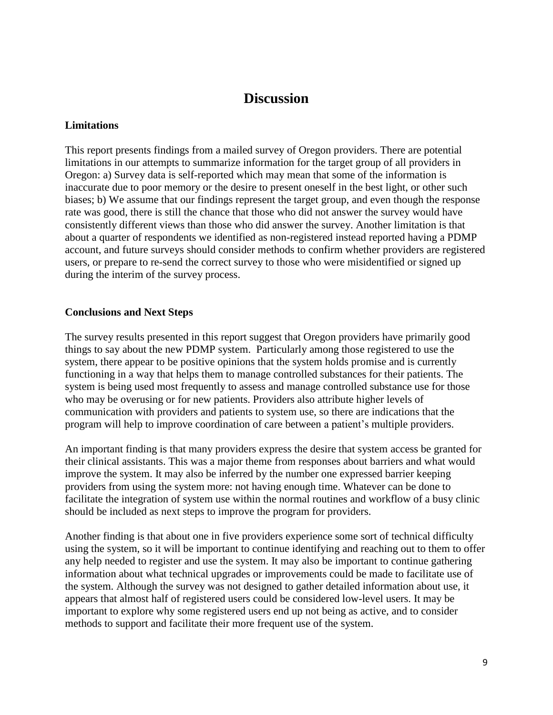### **Discussion**

#### **Limitations**

This report presents findings from a mailed survey of Oregon providers. There are potential limitations in our attempts to summarize information for the target group of all providers in Oregon: a) Survey data is self-reported which may mean that some of the information is inaccurate due to poor memory or the desire to present oneself in the best light, or other such biases; b) We assume that our findings represent the target group, and even though the response rate was good, there is still the chance that those who did not answer the survey would have consistently different views than those who did answer the survey. Another limitation is that about a quarter of respondents we identified as non-registered instead reported having a PDMP account, and future surveys should consider methods to confirm whether providers are registered users, or prepare to re-send the correct survey to those who were misidentified or signed up during the interim of the survey process.

#### **Conclusions and Next Steps**

The survey results presented in this report suggest that Oregon providers have primarily good things to say about the new PDMP system. Particularly among those registered to use the system, there appear to be positive opinions that the system holds promise and is currently functioning in a way that helps them to manage controlled substances for their patients. The system is being used most frequently to assess and manage controlled substance use for those who may be overusing or for new patients. Providers also attribute higher levels of communication with providers and patients to system use, so there are indications that the program will help to improve coordination of care between a patient"s multiple providers.

An important finding is that many providers express the desire that system access be granted for their clinical assistants. This was a major theme from responses about barriers and what would improve the system. It may also be inferred by the number one expressed barrier keeping providers from using the system more: not having enough time. Whatever can be done to facilitate the integration of system use within the normal routines and workflow of a busy clinic should be included as next steps to improve the program for providers.

Another finding is that about one in five providers experience some sort of technical difficulty using the system, so it will be important to continue identifying and reaching out to them to offer any help needed to register and use the system. It may also be important to continue gathering information about what technical upgrades or improvements could be made to facilitate use of the system. Although the survey was not designed to gather detailed information about use, it appears that almost half of registered users could be considered low-level users. It may be important to explore why some registered users end up not being as active, and to consider methods to support and facilitate their more frequent use of the system.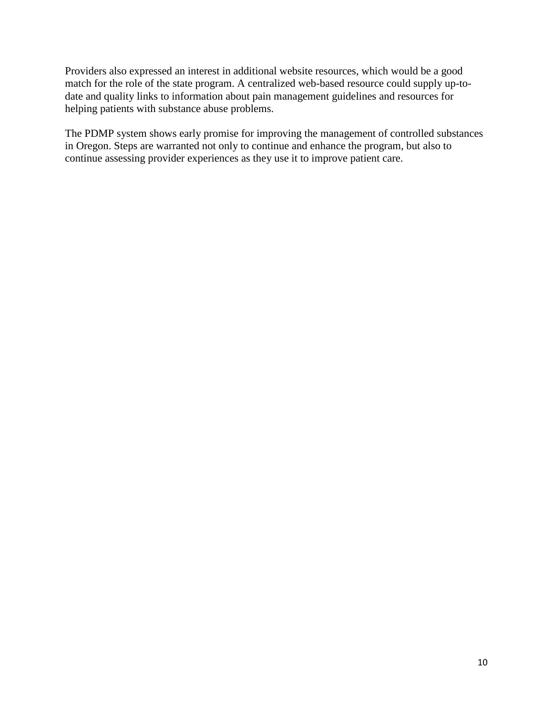Providers also expressed an interest in additional website resources, which would be a good match for the role of the state program. A centralized web-based resource could supply up-todate and quality links to information about pain management guidelines and resources for helping patients with substance abuse problems.

The PDMP system shows early promise for improving the management of controlled substances in Oregon. Steps are warranted not only to continue and enhance the program, but also to continue assessing provider experiences as they use it to improve patient care.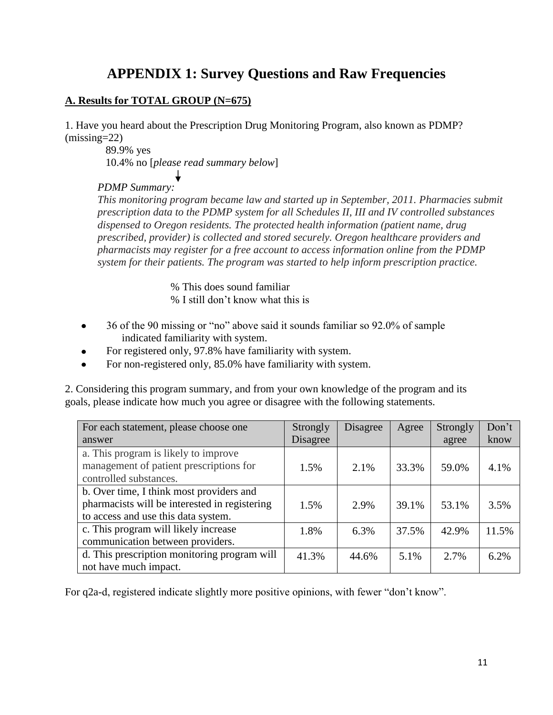## **APPENDIX 1: Survey Questions and Raw Frequencies**

#### **A. Results for TOTAL GROUP (N=675)**

1. Have you heard about the Prescription Drug Monitoring Program, also known as PDMP? (missing=22)

89.9% yes 10.4% no [*please read summary below*]

#### *PDMP Summary:*

*This monitoring program became law and started up in September, 2011. Pharmacies submit prescription data to the PDMP system for all Schedules II, III and IV controlled substances dispensed to Oregon residents. The protected health information (patient name, drug prescribed, provider) is collected and stored securely. Oregon healthcare providers and pharmacists may register for a free account to access information online from the PDMP system for their patients. The program was started to help inform prescription practice.* 

> % This does sound familiar % I still don"t know what this is

- 36 of the 90 missing or "no" above said it sounds familiar so 92.0% of sample  $\bullet$ indicated familiarity with system.
- $\bullet$ For registered only, 97.8% have familiarity with system.
- For non-registered only, 85.0% have familiarity with system.

2. Considering this program summary, and from your own knowledge of the program and its goals, please indicate how much you agree or disagree with the following statements.

| For each statement, please choose one         | Strongly | Disagree | Agree | Strongly | Don't   |
|-----------------------------------------------|----------|----------|-------|----------|---------|
| answer                                        | Disagree |          |       | agree    | know    |
| a. This program is likely to improve          |          |          |       |          |         |
| management of patient prescriptions for       | 1.5%     | 2.1%     | 33.3% | 59.0%    | 4.1%    |
| controlled substances.                        |          |          |       |          |         |
| b. Over time, I think most providers and      |          |          |       |          |         |
| pharmacists will be interested in registering | 1.5%     | 2.9%     | 39.1% | 53.1%    | 3.5%    |
| to access and use this data system.           |          |          |       |          |         |
| c. This program will likely increase          | 1.8%     | 6.3%     | 37.5% | 42.9%    | 11.5%   |
| communication between providers.              |          |          |       |          |         |
| d. This prescription monitoring program will  | 41.3%    | 44.6%    | 5.1%  | 2.7%     | $6.2\%$ |
| not have much impact.                         |          |          |       |          |         |

For q2a-d, registered indicate slightly more positive opinions, with fewer "don"t know".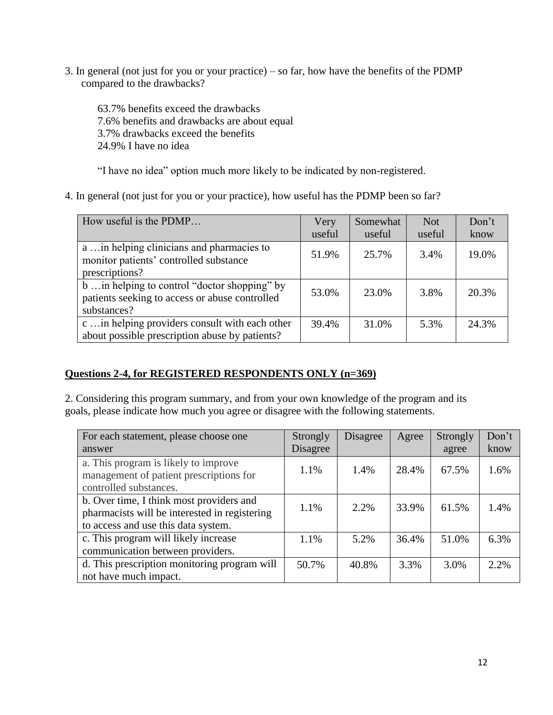3. In general (not just for you or your practice) – so far, how have the benefits of the PDMP compared to the drawbacks?

63.7% benefits exceed the drawbacks 7.6% benefits and drawbacks are about equal 3.7% drawbacks exceed the benefits 24.9% I have no idea

"I have no idea" option much more likely to be indicated by non-registered.

4. In general (not just for you or your practice), how useful has the PDMP been so far?

| How useful is the PDMP                                                                                         | Very   | Somewhat | <b>Not</b> | Don't |
|----------------------------------------------------------------------------------------------------------------|--------|----------|------------|-------|
|                                                                                                                | useful | useful   | useful     | know  |
| a  in helping clinicians and pharmacies to<br>monitor patients' controlled substance<br>prescriptions?         | 51.9%  | 25.7%    | 3.4%       | 19.0% |
| b  in helping to control "doctor shopping" by<br>patients seeking to access or abuse controlled<br>substances? | 53.0%  | 23.0%    | 3.8%       | 20.3% |
| c  in helping providers consult with each other<br>about possible prescription abuse by patients?              | 39.4%  | 31.0%    | 5.3%       | 24.3% |

#### **Questions 2-4, for REGISTERED RESPONDENTS ONLY (n=369)**

2. Considering this program summary, and from your own knowledge of the program and its goals, please indicate how much you agree or disagree with the following statements.

| For each statement, please choose one         | Strongly | Disagree | Agree | Strongly | Don't |
|-----------------------------------------------|----------|----------|-------|----------|-------|
| answer                                        | Disagree |          |       | agree    | know  |
| a. This program is likely to improve          | 1.1%     | 1.4%     | 28.4% | 67.5%    | 1.6%  |
| management of patient prescriptions for       |          |          |       |          |       |
| controlled substances.                        |          |          |       |          |       |
| b. Over time, I think most providers and      |          |          |       |          |       |
| pharmacists will be interested in registering | 1.1%     | 2.2%     | 33.9% | 61.5%    | 1.4%  |
| to access and use this data system.           |          |          |       |          |       |
| c. This program will likely increase          | 1.1%     | 5.2%     | 36.4% | 51.0%    | 6.3%  |
| communication between providers.              |          |          |       |          |       |
| d. This prescription monitoring program will  | 50.7%    | 40.8%    | 3.3%  | 3.0%     | 2.2%  |
| not have much impact.                         |          |          |       |          |       |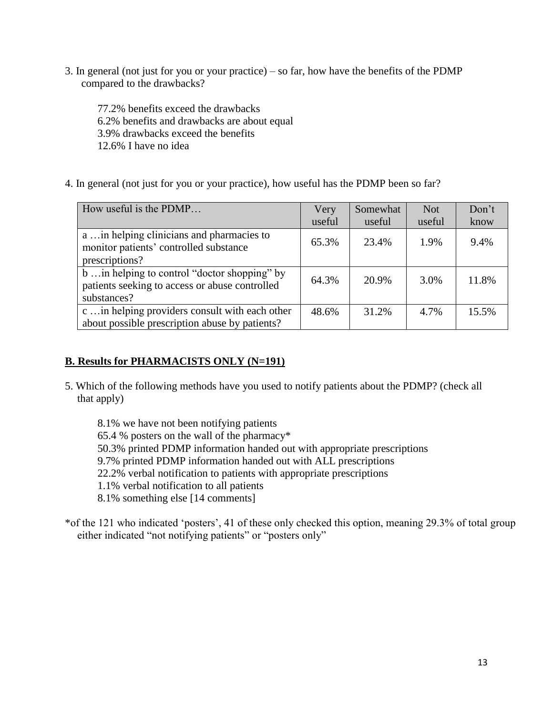3. In general (not just for you or your practice) – so far, how have the benefits of the PDMP compared to the drawbacks?

77.2% benefits exceed the drawbacks 6.2% benefits and drawbacks are about equal 3.9% drawbacks exceed the benefits 12.6% I have no idea

4. In general (not just for you or your practice), how useful has the PDMP been so far?

| How useful is the PDMP                                                                                         | Very<br>useful | Somewhat<br>useful | <b>Not</b><br>useful | Don't<br>know |
|----------------------------------------------------------------------------------------------------------------|----------------|--------------------|----------------------|---------------|
| a  in helping clinicians and pharmacies to<br>monitor patients' controlled substance<br>prescriptions?         | 65.3%          | 23.4%              | 1.9%                 | 9.4%          |
| b  in helping to control "doctor shopping" by<br>patients seeking to access or abuse controlled<br>substances? | 64.3%          | 20.9%              | 3.0%                 | 11.8%         |
| c  in helping providers consult with each other<br>about possible prescription abuse by patients?              | 48.6%          | 31.2%              | 4.7%                 | 15.5%         |

#### **B. Results for PHARMACISTS ONLY (N=191)**

5. Which of the following methods have you used to notify patients about the PDMP? (check all that apply)

8.1% we have not been notifying patients 65.4 % posters on the wall of the pharmacy\* 50.3% printed PDMP information handed out with appropriate prescriptions 9.7% printed PDMP information handed out with ALL prescriptions 22.2% verbal notification to patients with appropriate prescriptions 1.1% verbal notification to all patients 8.1% something else [14 comments]

\*of the 121 who indicated "posters", 41 of these only checked this option, meaning 29.3% of total group either indicated "not notifying patients" or "posters only"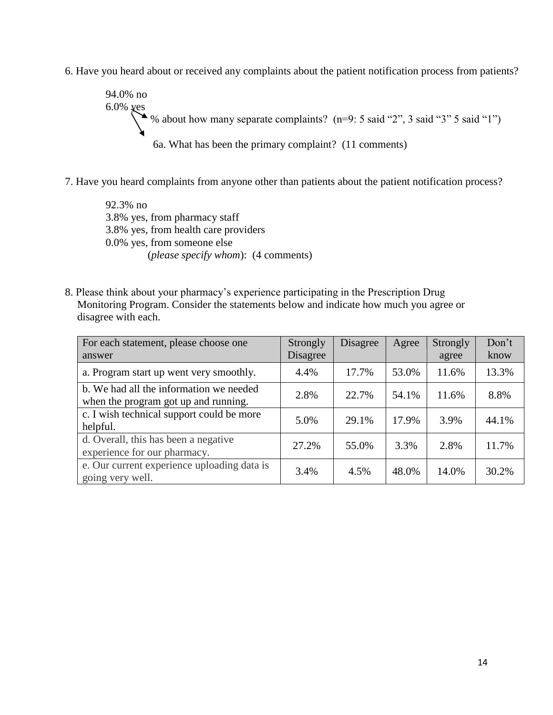6. Have you heard about or received any complaints about the patient notification process from patients?

94.0% no 6.0% yes % about how many separate complaints?  $(n=9: 5 \text{ said } "2", 3 \text{ said } "3" 5 \text{ said } "1")$ 6a. What has been the primary complaint? (11 comments)

7. Have you heard complaints from anyone other than patients about the patient notification process?

92.3% no 3.8% yes, from pharmacy staff 3.8% yes, from health care providers 0.0% yes, from someone else (*please specify whom*): (4 comments)

8. Please think about your pharmacy"s experience participating in the Prescription Drug Monitoring Program. Consider the statements below and indicate how much you agree or disagree with each.

| For each statement, please choose one<br>answer                                 | Strongly<br>Disagree | <b>Disagree</b> | Agree | <b>Strongly</b><br>agree | Don't<br>know |
|---------------------------------------------------------------------------------|----------------------|-----------------|-------|--------------------------|---------------|
| a. Program start up went very smoothly.                                         | 4.4%                 | 17.7%           | 53.0% | 11.6%                    | 13.3%         |
| b. We had all the information we needed<br>when the program got up and running. | 2.8%                 | 22.7%           | 54.1% | 11.6%                    | 8.8%          |
| c. I wish technical support could be more<br>helpful.                           | 5.0%                 | 29.1%           | 17.9% | 3.9%                     | 44.1%         |
| d. Overall, this has been a negative<br>experience for our pharmacy.            | 27.2%                | 55.0%           | 3.3%  | 2.8%                     | 11.7%         |
| e. Our current experience uploading data is<br>going very well.                 | 3.4%                 | 4.5%            | 48.0% | 14.0%                    | 30.2%         |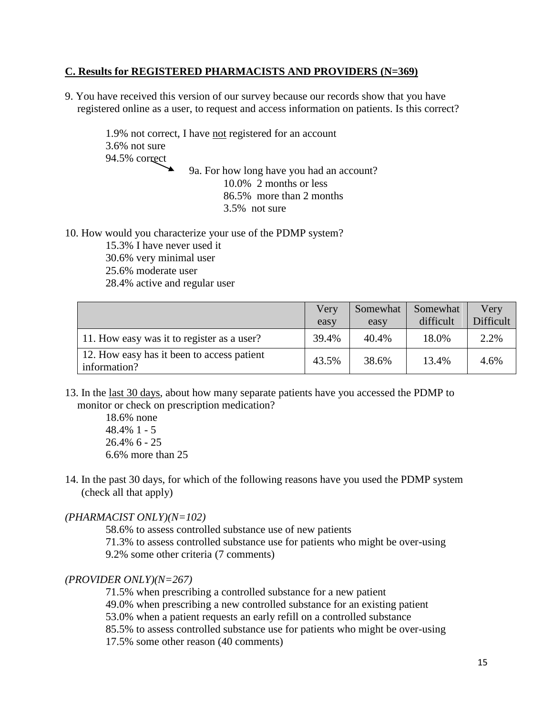#### **C. Results for REGISTERED PHARMACISTS AND PROVIDERS (N=369)**

9. You have received this version of our survey because our records show that you have registered online as a user, to request and access information on patients. Is this correct?

1.9% not correct, I have not registered for an account 3.6% not sure 94.5% correct 9a. For how long have you had an account? 10.0% 2 months or less 86.5% more than 2 months 3.5% not sure

10. How would you characterize your use of the PDMP system?

15.3% I have never used it 30.6% very minimal user 25.6% moderate user 28.4% active and regular user

|                                                            | Very<br>easy | Somewhat<br>easy | Somewhat<br>difficult | Very<br>Difficult |
|------------------------------------------------------------|--------------|------------------|-----------------------|-------------------|
| 11. How easy was it to register as a user?                 | 39.4%        | 40.4%            | 18.0%                 | 2.2%              |
| 12. How easy has it been to access patient<br>information? | 43.5%        | 38.6%            | 13.4%                 | 4.6%              |

13. In the last 30 days, about how many separate patients have you accessed the PDMP to monitor or check on prescription medication?

> 18.6% none 48.4% 1 - 5 26.4% 6 - 25 6.6% more than 25

14. In the past 30 days, for which of the following reasons have you used the PDMP system (check all that apply)

#### *(PHARMACIST ONLY)(N=102)*

58.6% to assess controlled substance use of new patients 71.3% to assess controlled substance use for patients who might be over-using 9.2% some other criteria (7 comments)

#### *(PROVIDER ONLY)(N=267)*

71.5% when prescribing a controlled substance for a new patient 49.0% when prescribing a new controlled substance for an existing patient 53.0% when a patient requests an early refill on a controlled substance 85.5% to assess controlled substance use for patients who might be over-using 17.5% some other reason (40 comments)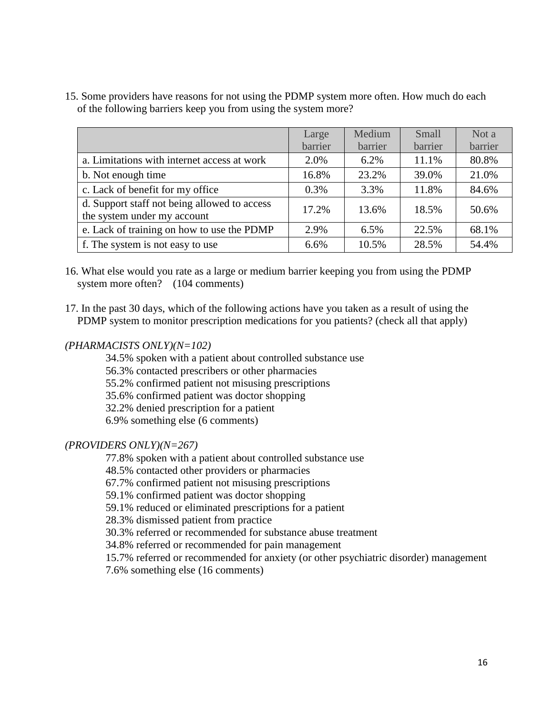15. Some providers have reasons for not using the PDMP system more often. How much do each of the following barriers keep you from using the system more?

|                                                                             | Large   | Medium  | Small   | Not a   |
|-----------------------------------------------------------------------------|---------|---------|---------|---------|
|                                                                             | barrier | barrier | barrier | barrier |
| a. Limitations with internet access at work                                 | 2.0%    | 6.2%    | 11.1%   | 80.8%   |
| b. Not enough time                                                          | 16.8%   | 23.2%   | 39.0%   | 21.0%   |
| c. Lack of benefit for my office                                            | 0.3%    | 3.3%    | 11.8%   | 84.6%   |
| d. Support staff not being allowed to access<br>the system under my account | 17.2%   | 13.6%   | 18.5%   | 50.6%   |
| e. Lack of training on how to use the PDMP                                  | 2.9%    | 6.5%    | 22.5%   | 68.1%   |
| f. The system is not easy to use                                            | 6.6%    | 10.5%   | 28.5%   | 54.4%   |

- 16. What else would you rate as a large or medium barrier keeping you from using the PDMP system more often? (104 comments)
- 17. In the past 30 days, which of the following actions have you taken as a result of using the PDMP system to monitor prescription medications for you patients? (check all that apply)

#### *(PHARMACISTS ONLY)(N=102)*

34.5% spoken with a patient about controlled substance use

56.3% contacted prescribers or other pharmacies

55.2% confirmed patient not misusing prescriptions

35.6% confirmed patient was doctor shopping

32.2% denied prescription for a patient

6.9% something else (6 comments)

#### *(PROVIDERS ONLY)(N=267)*

77.8% spoken with a patient about controlled substance use

48.5% contacted other providers or pharmacies

67.7% confirmed patient not misusing prescriptions

59.1% confirmed patient was doctor shopping

59.1% reduced or eliminated prescriptions for a patient

28.3% dismissed patient from practice

30.3% referred or recommended for substance abuse treatment

34.8% referred or recommended for pain management

15.7% referred or recommended for anxiety (or other psychiatric disorder) management 7.6% something else (16 comments)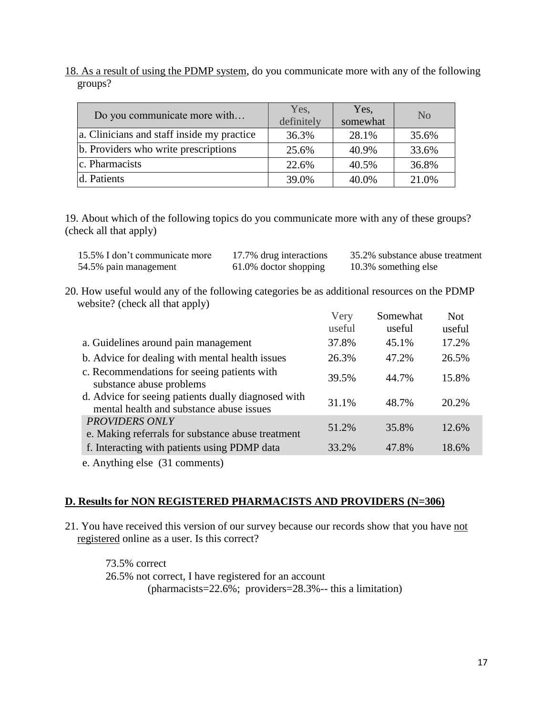18. As a result of using the PDMP system, do you communicate more with any of the following groups?

| Do you communicate more with               | Yes,<br>definitely | Yes,<br>somewhat | N <sub>o</sub> |
|--------------------------------------------|--------------------|------------------|----------------|
| a. Clinicians and staff inside my practice | 36.3%              | 28.1%            | 35.6%          |
| b. Providers who write prescriptions       | 25.6%              | 40.9%            | 33.6%          |
| c. Pharmacists                             | 22.6%              | 40.5%            | 36.8%          |
| d. Patients                                | 39.0%              | 40.0%            | 21.0%          |

19. About which of the following topics do you communicate more with any of these groups? (check all that apply)

| 15.5% I don't communicate more | 17.7% drug interactions | 35.2% substance abuse treatment |
|--------------------------------|-------------------------|---------------------------------|
| 54.5% pain management          | 61.0% doctor shopping   | 10.3% something else            |

20. How useful would any of the following categories be as additional resources on the PDMP website? (check all that apply)

|                                                                                                 | Very   | Somewhat | <b>Not</b> |
|-------------------------------------------------------------------------------------------------|--------|----------|------------|
|                                                                                                 | useful | useful   | useful     |
| a. Guidelines around pain management                                                            | 37.8%  | 45.1%    | 17.2%      |
| b. Advice for dealing with mental health issues                                                 | 26.3%  | 47.2%    | 26.5%      |
| c. Recommendations for seeing patients with<br>substance abuse problems                         | 39.5%  | 44.7%    | 15.8%      |
| d. Advice for seeing patients dually diagnosed with<br>mental health and substance abuse issues | 31.1%  | 48.7%    | 20.2%      |
| <b>PROVIDERS ONLY</b><br>e. Making referrals for substance abuse treatment                      | 51.2%  | 35.8%    | 12.6%      |
| f. Interacting with patients using PDMP data                                                    | 33.2%  | 47.8%    | 18.6%      |

e. Anything else (31 comments)

#### **D. Results for NON REGISTERED PHARMACISTS AND PROVIDERS (N=306)**

21. You have received this version of our survey because our records show that you have not registered online as a user. Is this correct?

73.5% correct 26.5% not correct, I have registered for an account (pharmacists=22.6%; providers=28.3%-- this a limitation)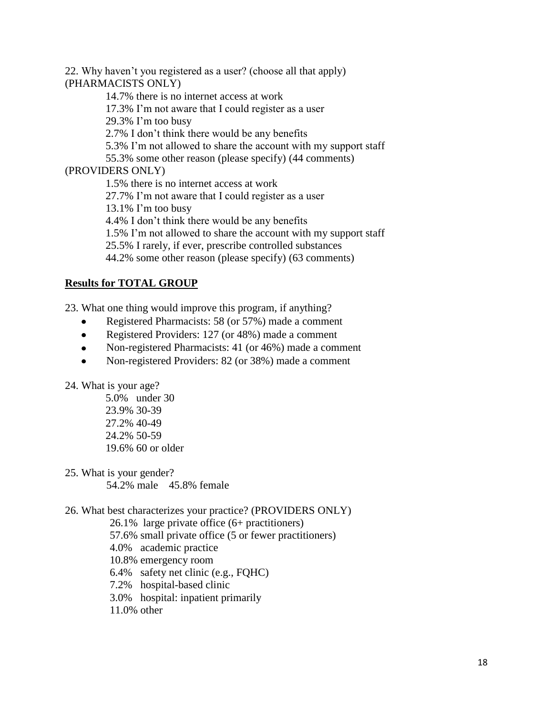22. Why haven"t you registered as a user? (choose all that apply) (PHARMACISTS ONLY)

14.7% there is no internet access at work

17.3% I"m not aware that I could register as a user

29.3% I"m too busy

2.7% I don"t think there would be any benefits

5.3% I"m not allowed to share the account with my support staff

55.3% some other reason (please specify) (44 comments)

#### (PROVIDERS ONLY)

1.5% there is no internet access at work

27.7% I"m not aware that I could register as a user

13.1% I"m too busy

4.4% I don"t think there would be any benefits

1.5% I"m not allowed to share the account with my support staff

25.5% I rarely, if ever, prescribe controlled substances

44.2% some other reason (please specify) (63 comments)

#### **Results for TOTAL GROUP**

23. What one thing would improve this program, if anything?

- Registered Pharmacists: 58 (or 57%) made a comment
- Registered Providers: 127 (or 48%) made a comment  $\bullet$
- Non-registered Pharmacists: 41 (or 46%) made a comment  $\bullet$
- Non-registered Providers: 82 (or 38%) made a comment

24. What is your age?

5.0% under 30 23.9% 30-39 27.2% 40-49 24.2% 50-59 19.6% 60 or older

25. What is your gender?

54.2% male 45.8% female

26. What best characterizes your practice? (PROVIDERS ONLY)

26.1% large private office (6+ practitioners)

- 57.6% small private office (5 or fewer practitioners)
- 4.0% academic practice
- 10.8% emergency room
- 6.4% safety net clinic (e.g., FQHC)
- 7.2% hospital-based clinic
- 3.0% hospital: inpatient primarily
- 11.0% other